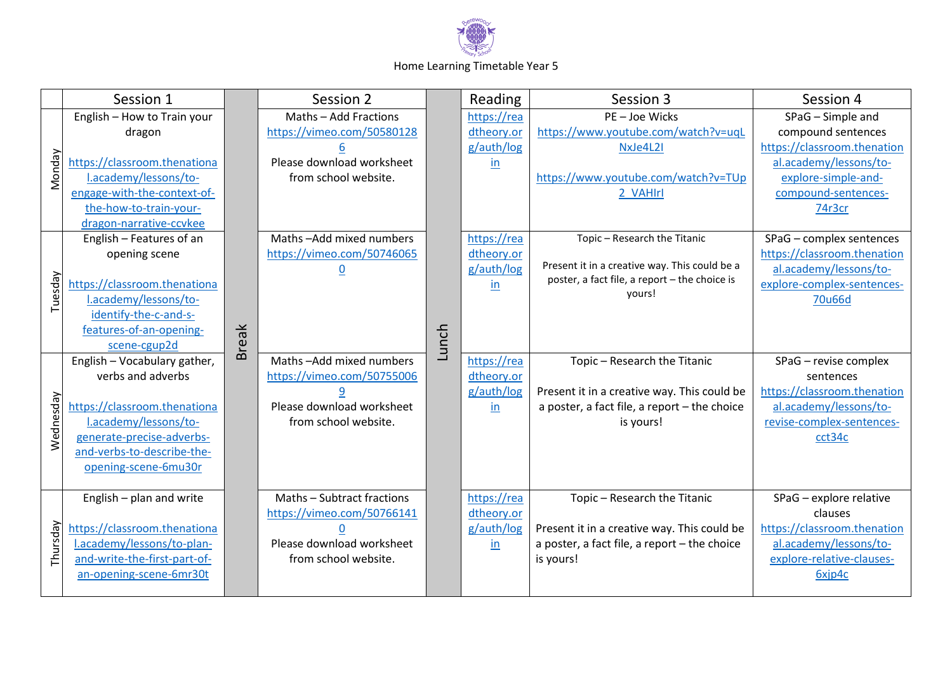

## Home Learning Timetable Year 5

|           | Session 1                    |              | Session 2                  |       | Reading     | Session 3                                               | Session 4                   |
|-----------|------------------------------|--------------|----------------------------|-------|-------------|---------------------------------------------------------|-----------------------------|
| Monday    | English - How to Train your  |              | Maths - Add Fractions      |       | https://rea | PE-Joe Wicks                                            | SPaG - Simple and           |
|           | dragon                       |              | https://vimeo.com/50580128 |       | dtheory.or  | https://www.youtube.com/watch?v=uqL                     | compound sentences          |
|           |                              |              |                            |       | g/auth/log  | NxJe4L2I                                                | https://classroom.thenation |
|           | https://classroom.thenationa |              | Please download worksheet  |       | in          |                                                         | al.academy/lessons/to-      |
|           | l.academy/lessons/to-        |              | from school website.       |       |             | https://www.youtube.com/watch?v=TUp                     | explore-simple-and-         |
|           | engage-with-the-context-of-  |              |                            |       |             | 2 VAHIrl                                                | compound-sentences-         |
|           | the-how-to-train-your-       |              |                            |       |             |                                                         | 74r3cr                      |
|           | dragon-narrative-ccvkee      |              |                            |       |             |                                                         |                             |
| Tuesday   | English - Features of an     |              | Maths-Add mixed numbers    |       | https://rea | Topic - Research the Titanic                            | SPaG - complex sentences    |
|           | opening scene                |              | https://vimeo.com/50746065 |       | dtheory.or  |                                                         | https://classroom.thenation |
|           |                              |              |                            |       | g/auth/log  | Present it in a creative way. This could be a           | al.academy/lessons/to-      |
|           | https://classroom.thenationa |              |                            |       | in          | poster, a fact file, a report - the choice is<br>yours! | explore-complex-sentences-  |
|           | l.academy/lessons/to-        |              |                            |       |             |                                                         | 70u66d                      |
|           | identify-the-c-and-s-        |              |                            |       |             |                                                         |                             |
|           | features-of-an-opening-      | <b>Break</b> |                            |       |             |                                                         |                             |
|           | scene-cgup2d                 |              |                            | Lunch |             |                                                         |                             |
|           | English - Vocabulary gather, |              | Maths-Add mixed numbers    |       | https://rea | Topic - Research the Titanic                            | SPaG - revise complex       |
|           | verbs and adverbs            |              | https://vimeo.com/50755006 |       | dtheory.or  |                                                         | sentences                   |
| Wednesday |                              |              |                            |       | g/auth/log  | Present it in a creative way. This could be             | https://classroom.thenation |
|           | https://classroom.thenationa |              | Please download worksheet  |       | in          | a poster, a fact file, a report - the choice            | al.academy/lessons/to-      |
|           | l.academy/lessons/to-        |              | from school website.       |       |             | is yours!                                               | revise-complex-sentences-   |
|           | generate-precise-adverbs-    |              |                            |       |             |                                                         | cct34c                      |
|           | and-verbs-to-describe-the-   |              |                            |       |             |                                                         |                             |
|           | opening-scene-6mu30r         |              |                            |       |             |                                                         |                             |
|           |                              |              |                            |       |             |                                                         |                             |
| Thursday  | English - plan and write     |              | Maths - Subtract fractions |       | https://rea | Topic - Research the Titanic                            | SPaG - explore relative     |
|           |                              |              | https://vimeo.com/50766141 |       | dtheory.or  |                                                         | clauses                     |
|           | https://classroom.thenationa |              |                            |       | g/auth/log  | Present it in a creative way. This could be             | https://classroom.thenation |
|           | l.academy/lessons/to-plan-   |              | Please download worksheet  |       | in          | a poster, a fact file, a report - the choice            | al.academy/lessons/to-      |
|           | and-write-the-first-part-of- |              | from school website.       |       |             | is yours!                                               | explore-relative-clauses-   |
|           | an-opening-scene-6mr30t      |              |                            |       |             |                                                         | 6xjp4c                      |
|           |                              |              |                            |       |             |                                                         |                             |